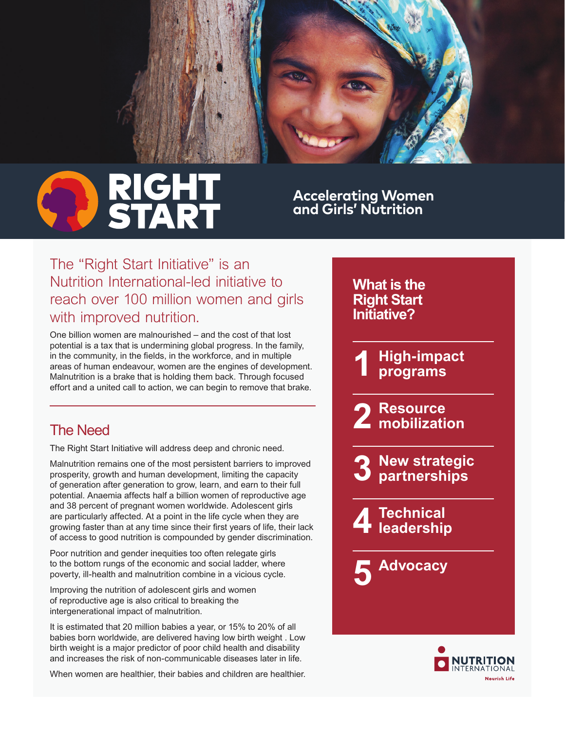

**Accelerating Women and Girls' Nutrition**

*What is the* 

*The "Right Start Initiative" is an Nutrition International-led initiative to reach over 100 million women and girls with improved nutrition.*

*One billion women are malnourished – and the cost of that lost potential is a tax that is undermining global progress. In the family,*  in the community, in the fields, in the workforce, and in multiple *areas of human endeavour, women are the engines of development. Malnutrition is a brake that is holding them back. Through focused effort and a united call to action, we can begin to remove that brake.*

## *The Need*

*The Right Start Initiative will address deep and chronic need.* 

*Malnutrition remains one of the most persistent barriers to improved prosperity, growth and human development, limiting the capacity of generation after generation to grow, learn, and earn to their full potential. Anaemia affects half a billion women of reproductive age and 38 percent of pregnant women worldwide. Adolescent girls are particularly affected. At a point in the life cycle when they are*  growing faster than at any time since their first years of life, their lack *of access to good nutrition is compounded by gender discrimination.* 

*Poor nutrition and gender inequities too often relegate girls to the bottom rungs of the economic and social ladder, where poverty, ill-health and malnutrition combine in a vicious cycle.* 

*Improving the nutrition of adolescent girls and women of reproductive age is also critical to breaking the intergenerational impact of malnutrition.* 

*It is estimated that 20 million babies a year, or 15% to 20% of all babies born worldwide, are delivered having low birth weight . Low birth weight is a major predictor of poor child health and disability and increases the risk of non-communicable diseases later in life.* 

*When women are healthier, their babies and children are healthier.*